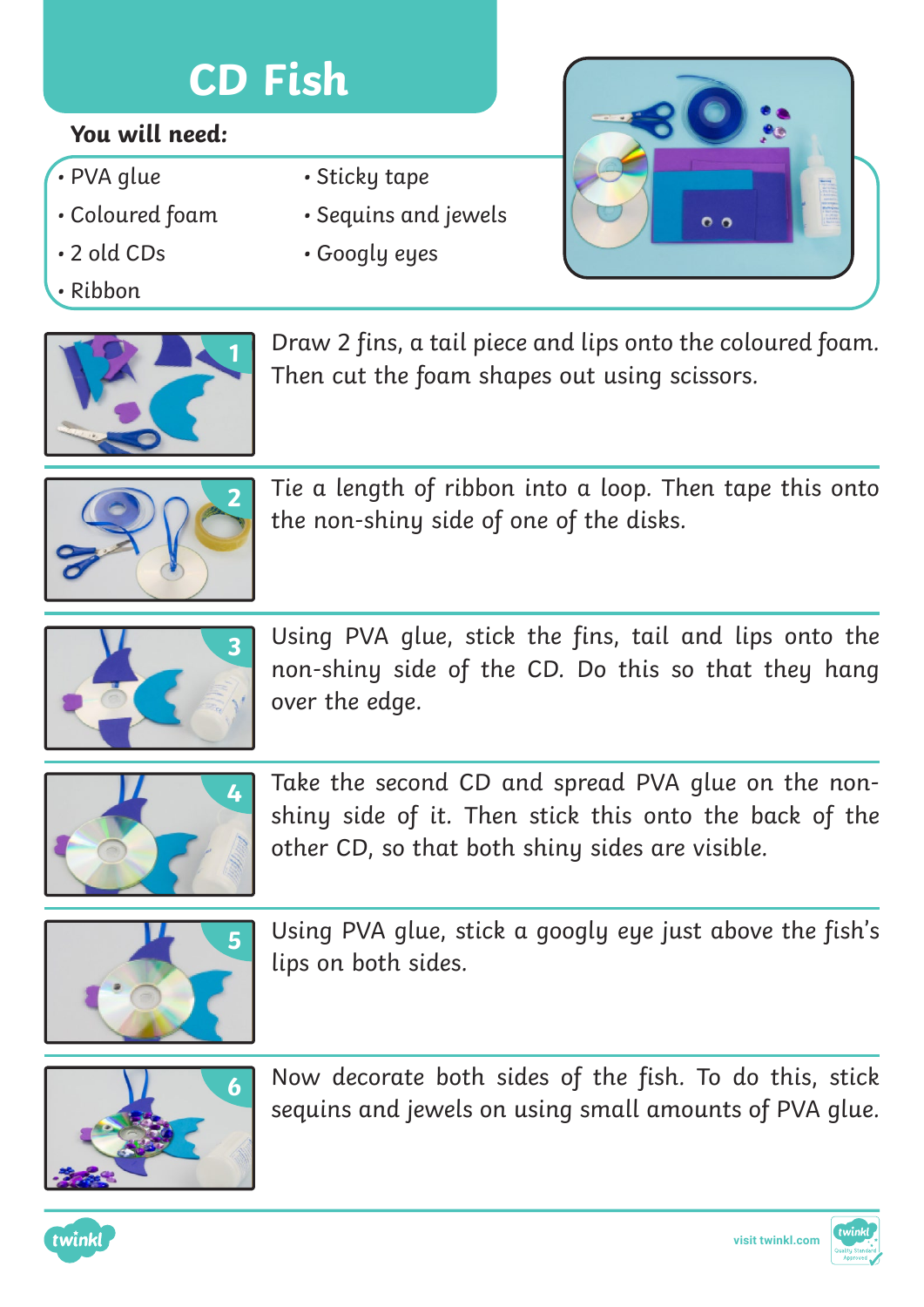# **CD Fish**

### **You will need:**

- PVA glue
- Coloured foam
- 2 old CDs
- Ribbon



- Sequins and jewels
- Googly eyes





**1** Draw 2 fins, a tail piece and lips onto the coloured foam. Then cut the foam shapes out using scissors.



Tie a length of ribbon into a loop. Then tape this onto the non-shiny side of one of the disks.



Using PVA glue, stick the fins, tail and lips onto the non-shiny side of the CD. Do this so that they hang over the edge.



Take the second CD and spread PVA glue on the nonshiny side of it. Then stick this onto the back of the other CD, so that both shiny sides are visible.



Using PVA glue, stick a googly eye just above the fish's lips on both sides.



Now decorate both sides of the fish. To do this, stick sequins and jewels on using small amounts of PVA glue.



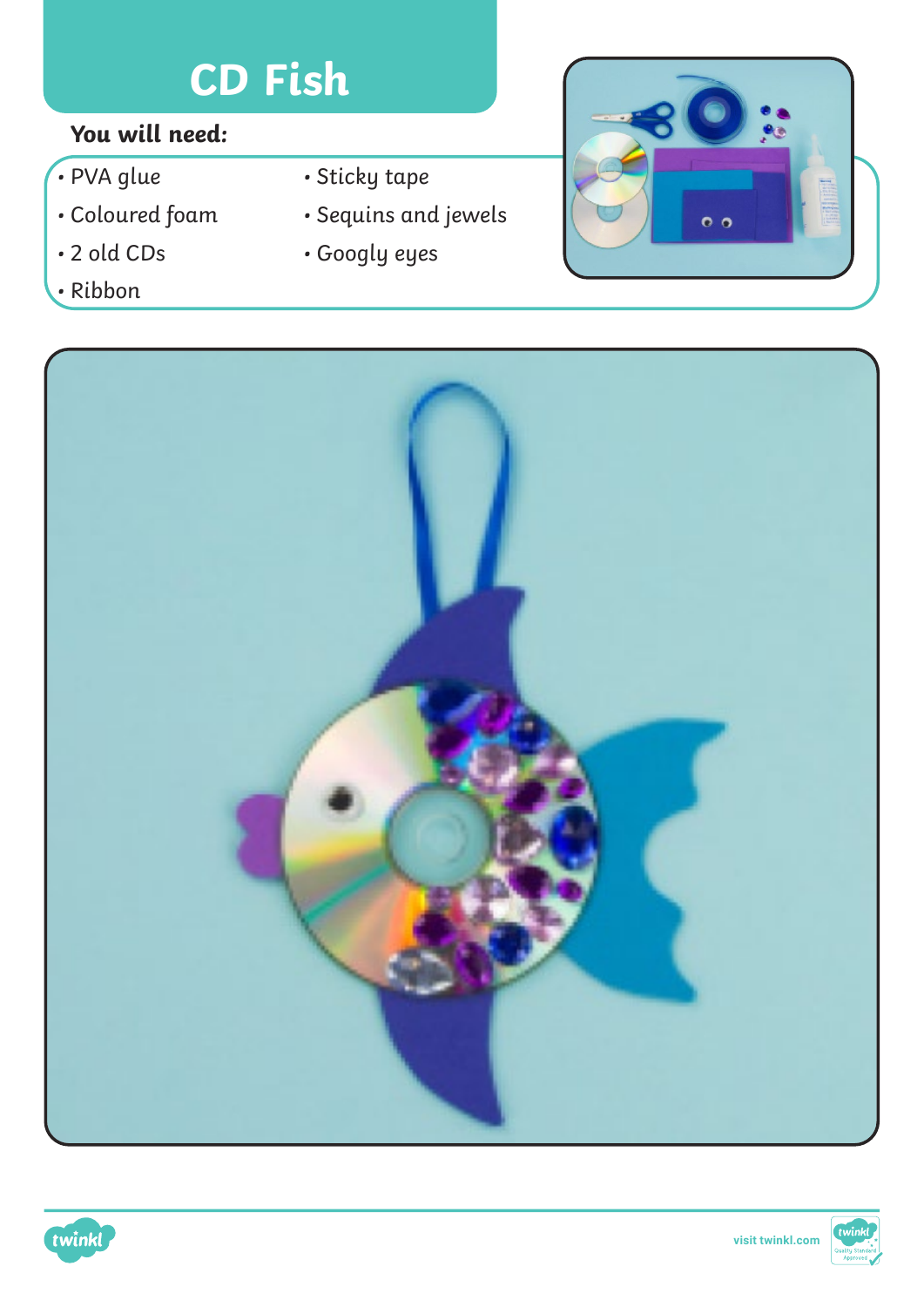# **CD Fish**

## **You will need:**

- PVA glue
- Coloured foam
- 2 old CDs
- Ribbon
- Sticky tape
- Sequins and jewels
- Googly eyes







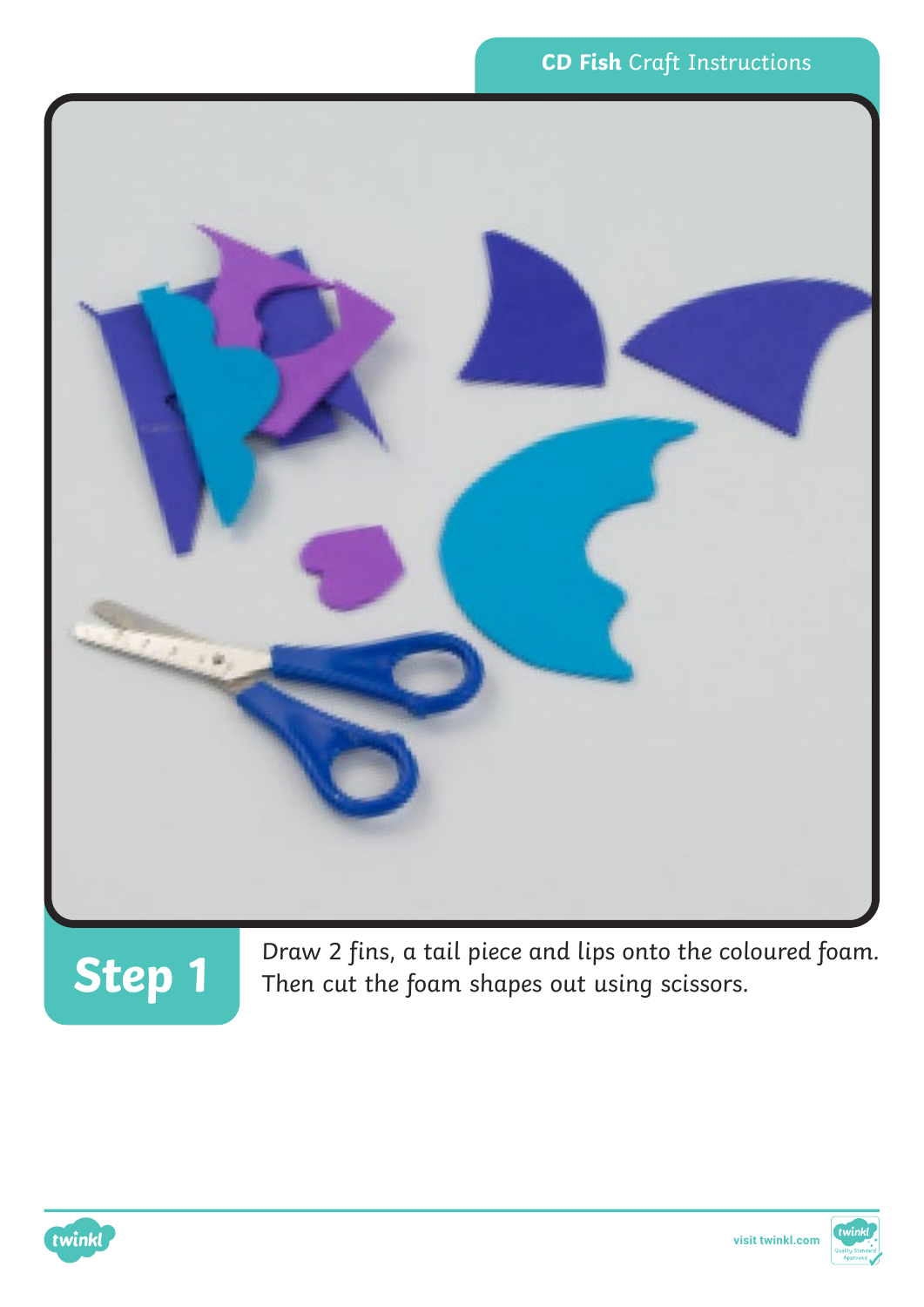



**Step 1** Draw 2 fins, a tail piece and lips onto the coloured foam.<br>**Step 1** Then cut the foam shapes out using scissors.



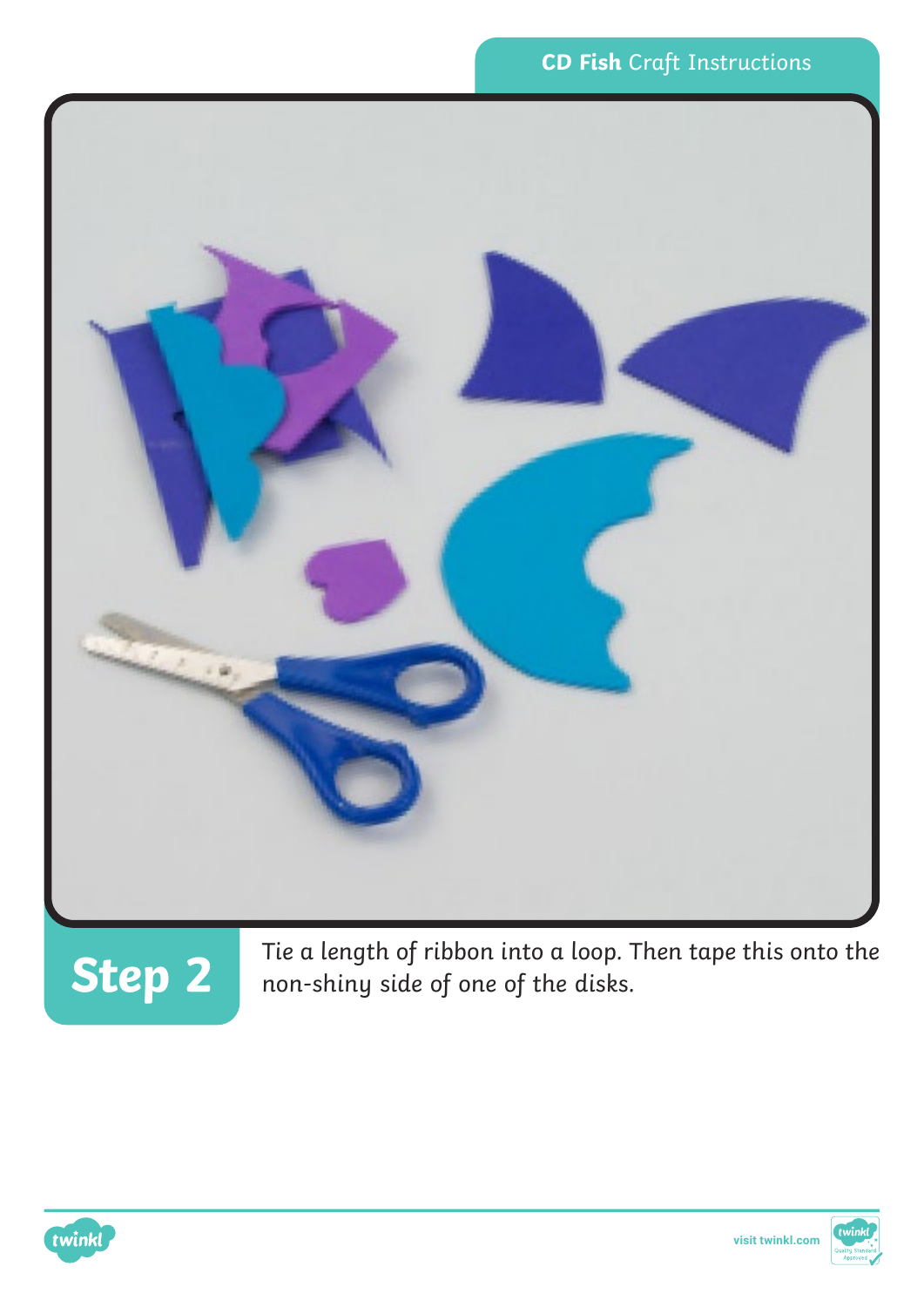

**Step 2** Tie a length of ribbon into a loop. Then tape this onto the non-shiny side of one of the disks. non-shiny side of one of the disks.



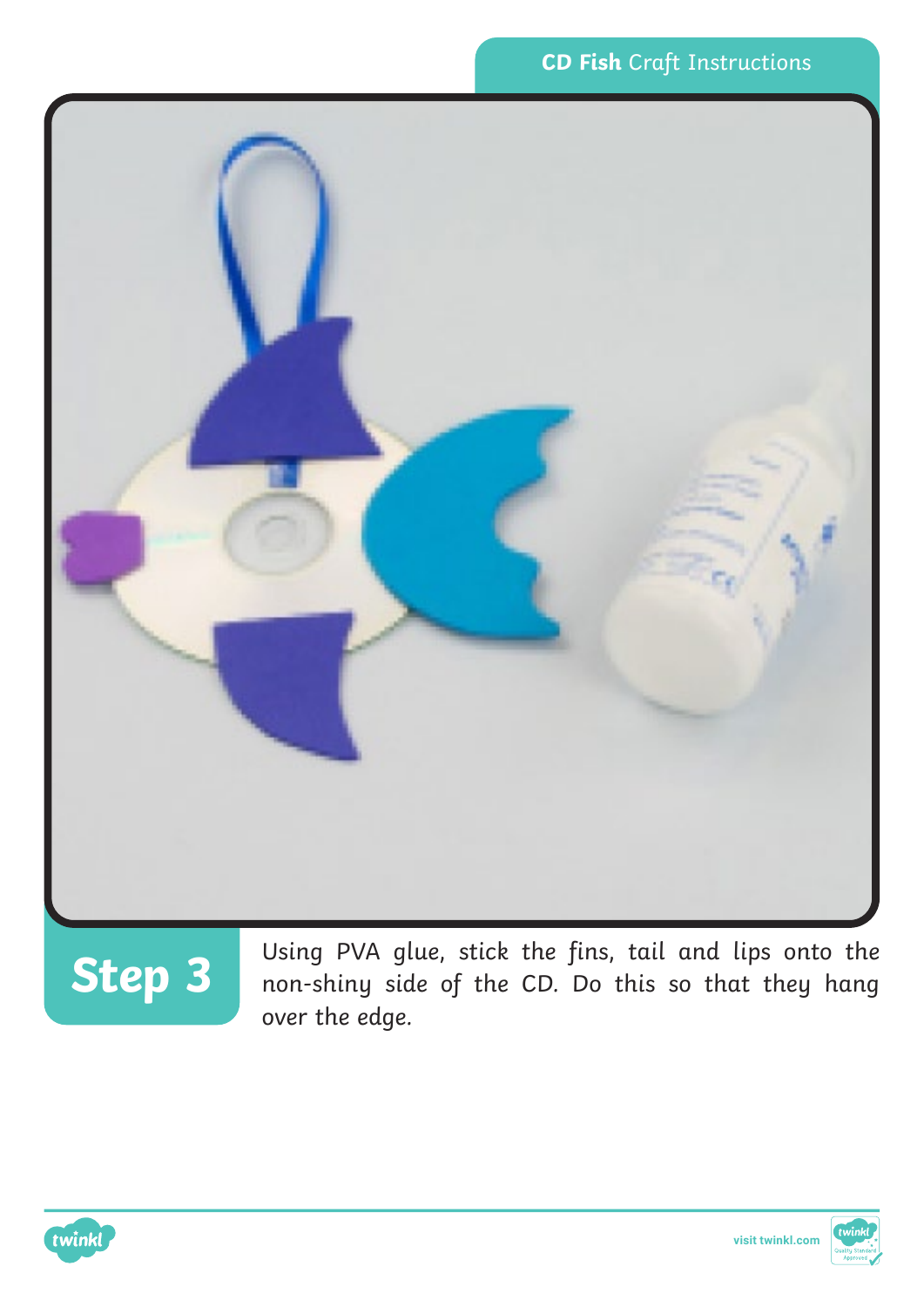

# **Step 3**

Using PVA glue, stick the fins, tail and lips onto the non-shiny side of the CD. Do this so that they hang over the edge.



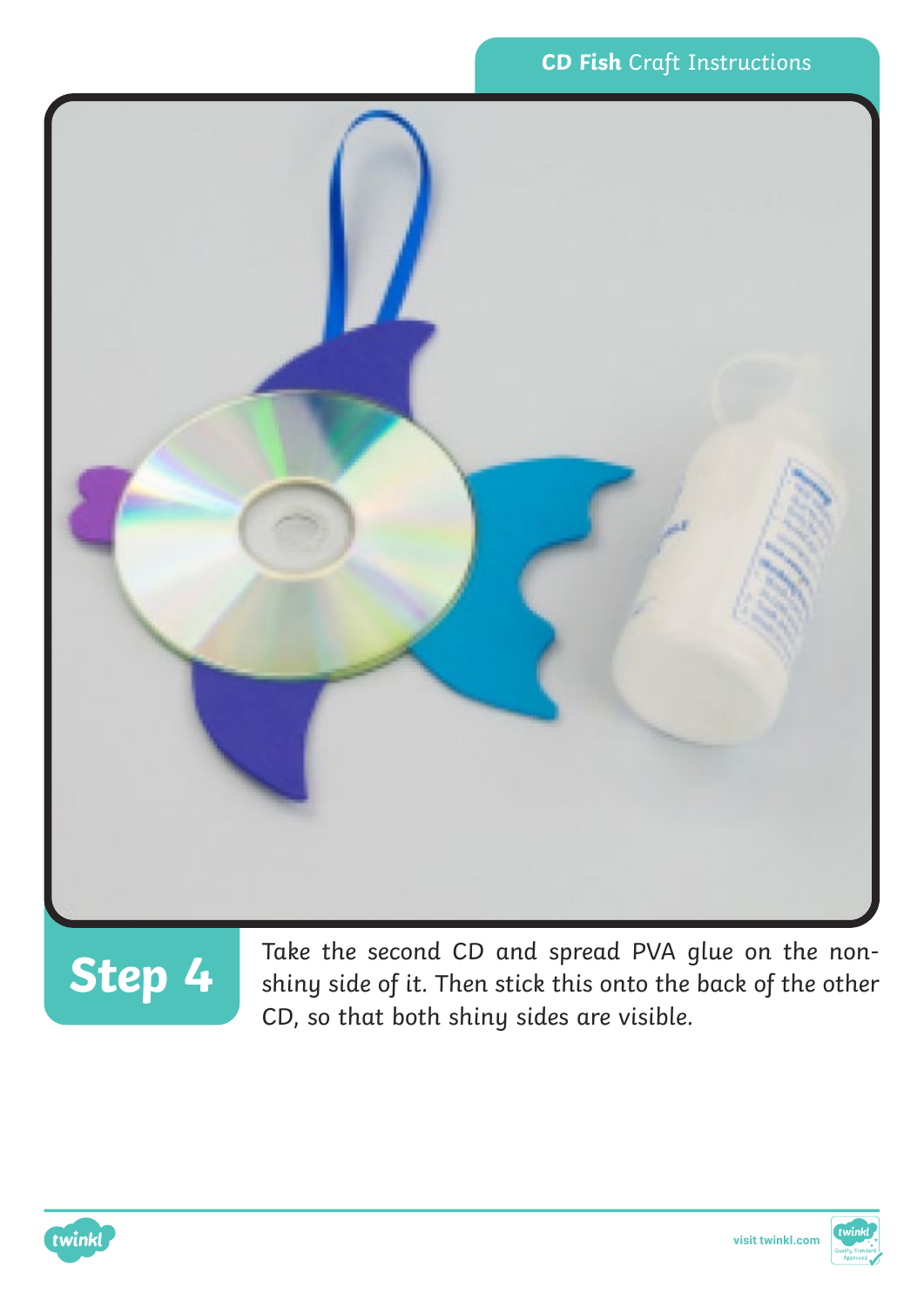



**Step 4** Take the second CD and spread PVA glue on the non-shiny side of it. Then stick this onto the back of the other CD, so that both shiny sides are visible.



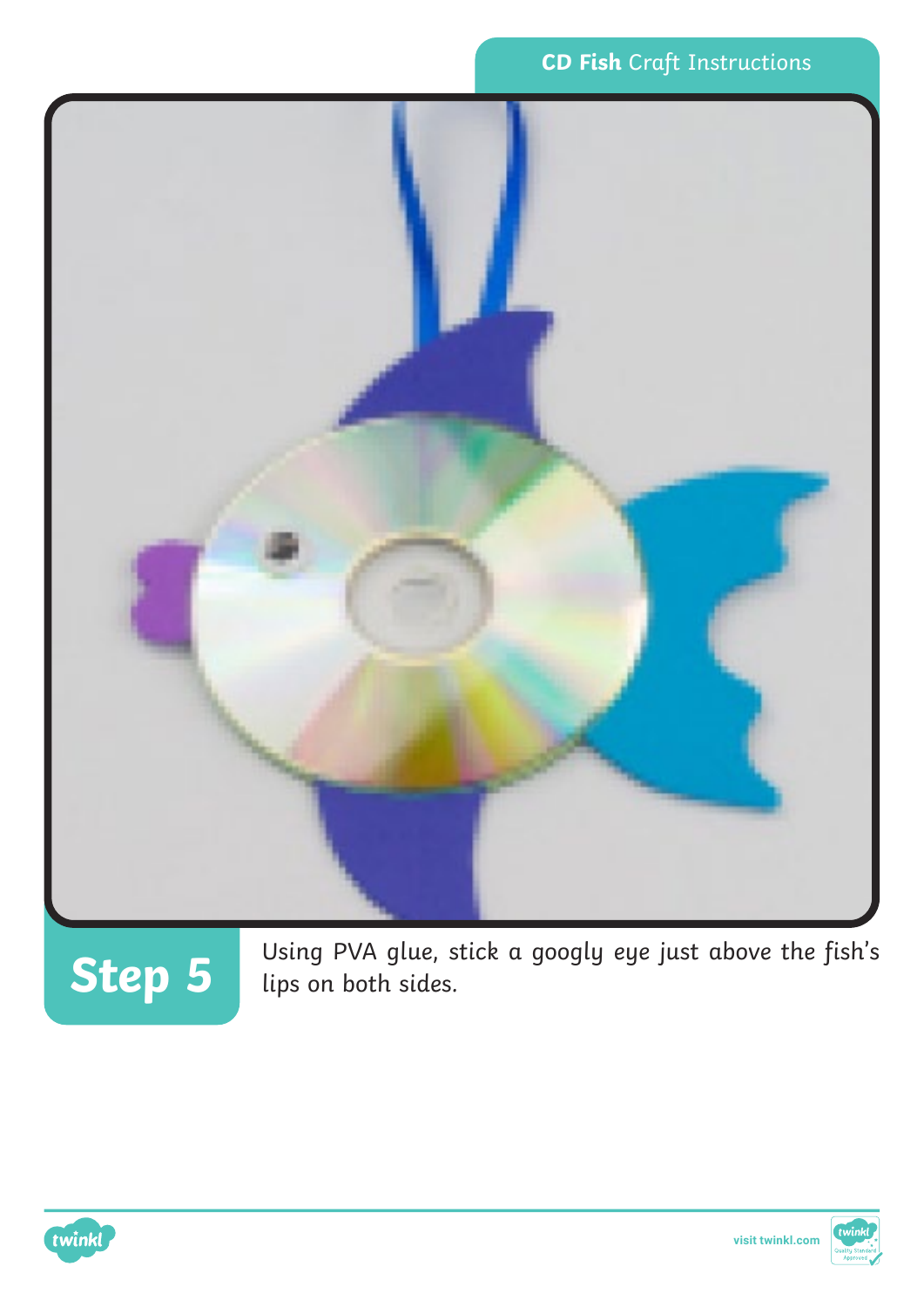

Using PVA glue, stick a googly eye just above the fish's **Step 5** lips on both sides.



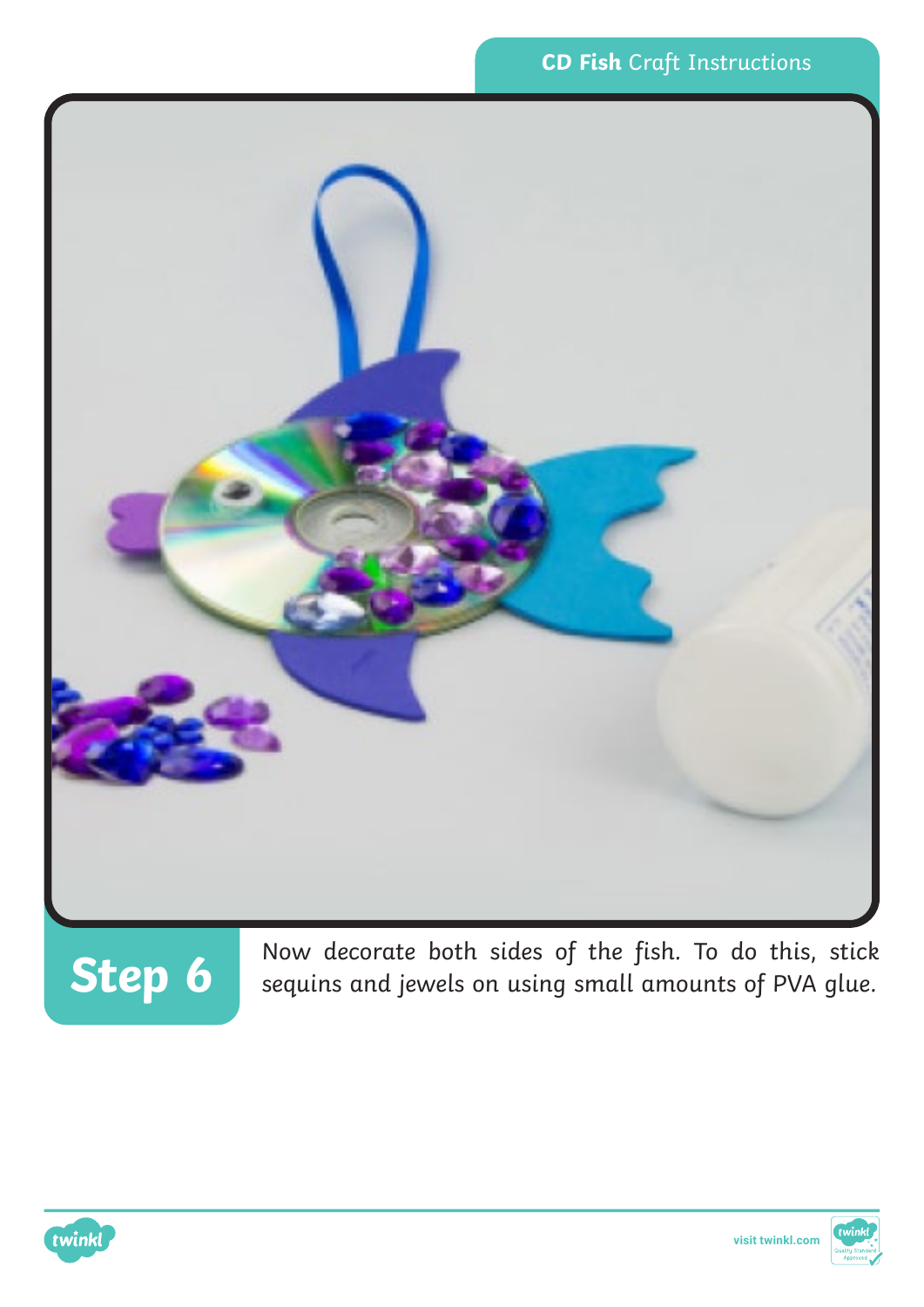

Now decorate both sides of the fish. To do this, stick sequins and jewels on using small amounts of PVA glue.